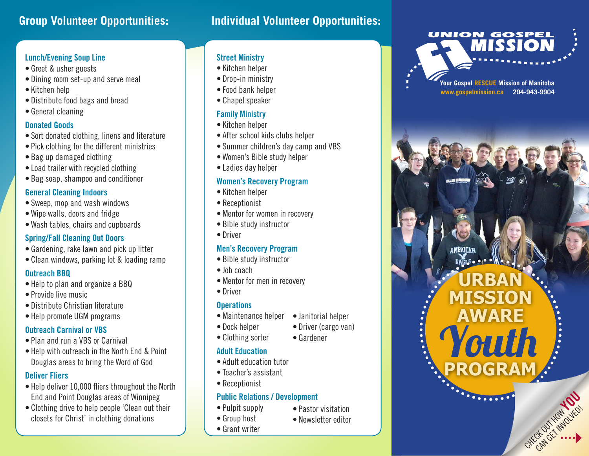# **Group Volunteer Opportunities: Individual Volunteer Opportunities:**

### **Lunch/Evening Soup Line**

- Greet & usher guests
- Dining room set-up and serve meal
- • Kitchen help
- Distribute food bags and bread
- General cleaning

#### **Donated Goods**

- • Sort donated clothing, linens and literature
- Pick clothing for the different ministries
- Bag up damaged clothing
- Load trailer with recycled clothing
- Bag soap, shampoo and conditioner

#### **General Cleaning Indoors**

- Sweep, mop and wash windows
- • Wipe walls, doors and fridge
- • Wash tables, chairs and cupboards

#### **Spring/Fall Cleaning Out Doors**

- Gardening, rake lawn and pick up litter
- Clean windows, parking lot & loading ramp

#### **Outreach BBQ**

- Help to plan and organize a BBQ
- Provide live music
- Distribute Christian literature
- Help promote UGM programs

#### **Outreach Carnival or VBS**

- Plan and run a VBS or Carnival
- Help with outreach in the North End & Point Douglas areas to bring the Word of God

#### **Deliver Fliers**

- Help deliver 10,000 fliers throughout the North End and Point Douglas areas of Winnipeg
- Clothing drive to help people 'Clean out their closets for Christ' in clothing donations

#### **Street Ministry**

- • Kitchen helper
- Drop-in ministry
- Food bank helper
- • Chapel speaker

#### **Family Ministry**

- • Kitchen helper
- After school kids clubs helper
- Summer children's day camp and VBS
- • Women's Bible study helper
- • Ladies day helper

#### **Women's Recovery Program**

- • Kitchen helper
- Receptionist
- Mentor for women in recovery
- Bible study instructor
- Driver

#### **Men's Recovery Program**

- Bible study instructor
- Inh coach
- Mentor for men in recovery
- Driver

#### **Operations**

- Maintenance helper • Janitorial helper
- Dock helper
- Clothing sorter
- Driver (cargo van) • Gardener

#### **Adult Education**

- Adult education tutor
- • Teacher's assistant
- Receptionist

#### **Public Relations / Development**

• Pulpit supply • Group host

• Grant writer

- Pastor visitation
- • Newsletter editor



**Your Gospel RESCUE Mission of Manitoba www.gospelmission.ca 204-943-9904**

**URBAN**

**MISSION**

**AWARE**

Youth

CHECK OUT HOW YOU

**PROGRAM**